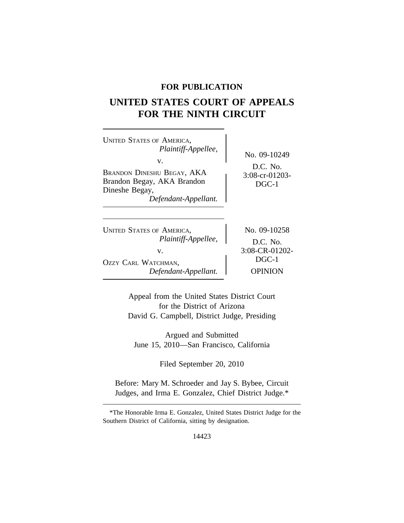## **FOR PUBLICATION**

# **UNITED STATES COURT OF APPEALS FOR THE NINTH CIRCUIT**

| <b>UNITED STATES OF AMERICA,</b><br>Plaintiff-Appellee,<br>V.<br><b>BRANDON DINESHU BEGAY, AKA</b><br>Brandon Begay, AKA Brandon<br>Dineshe Begay,<br>Defendant-Appellant. | No. 09-10249<br>$D.C.$ No.<br>$3:08$ -cr-01203-<br>$DGC-1$ |
|----------------------------------------------------------------------------------------------------------------------------------------------------------------------------|------------------------------------------------------------|
| <b>UNITED STATES OF AMERICA,</b>                                                                                                                                           | No. 09-10258                                               |
| Plaintiff-Appellee,                                                                                                                                                        | $D.C.$ No.                                                 |
| V.                                                                                                                                                                         | 3:08-CR-01202-                                             |
| OZZY CARL WATCHMAN,                                                                                                                                                        | $DGC-1$                                                    |
| Defendant-Appellant.                                                                                                                                                       | OPINION                                                    |

Appeal from the United States District Court for the District of Arizona David G. Campbell, District Judge, Presiding

Argued and Submitted June 15, 2010—San Francisco, California

Filed September 20, 2010

Before: Mary M. Schroeder and Jay S. Bybee, Circuit Judges, and Irma E. Gonzalez, Chief District Judge.\*

\*The Honorable Irma E. Gonzalez, United States District Judge for the Southern District of California, sitting by designation.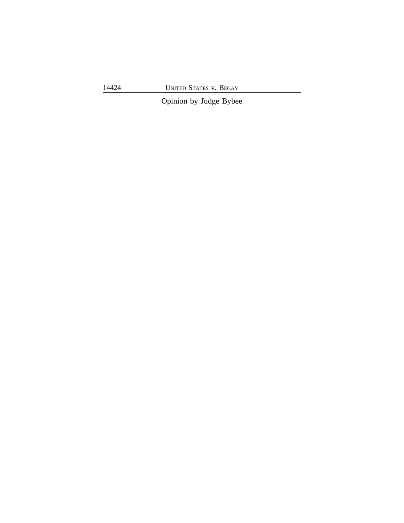14424 UNITED STATES v. BEGAY

Opinion by Judge Bybee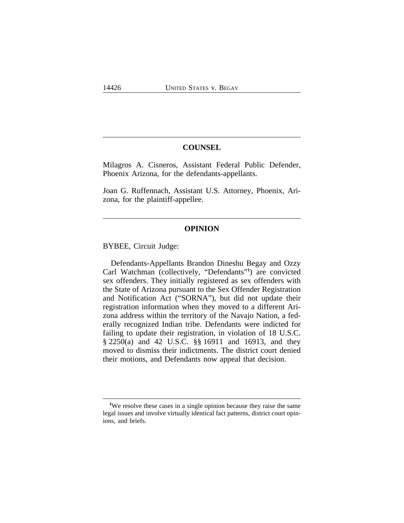### **COUNSEL**

Milagros A. Cisneros, Assistant Federal Public Defender, Phoenix Arizona, for the defendants-appellants.

Joan G. Ruffennach, Assistant U.S. Attorney, Phoenix, Arizona, for the plaintiff-appellee.

## **OPINION**

BYBEE, Circuit Judge:

Defendants-Appellants Brandon Dineshu Begay and Ozzy Carl Watchman (collectively, "Defendants" **1** ) are convicted sex offenders. They initially registered as sex offenders with the State of Arizona pursuant to the Sex Offender Registration and Notification Act ("SORNA"), but did not update their registration information when they moved to a different Arizona address within the territory of the Navajo Nation, a federally recognized Indian tribe. Defendants were indicted for failing to update their registration, in violation of 18 U.S.C. § 2250(a) and 42 U.S.C. §§ 16911 and 16913, and they moved to dismiss their indictments. The district court denied their motions, and Defendants now appeal that decision.

**<sup>1</sup>**We resolve these cases in a single opinion because they raise the same legal issues and involve virtually identical fact patterns, district court opinions, and briefs.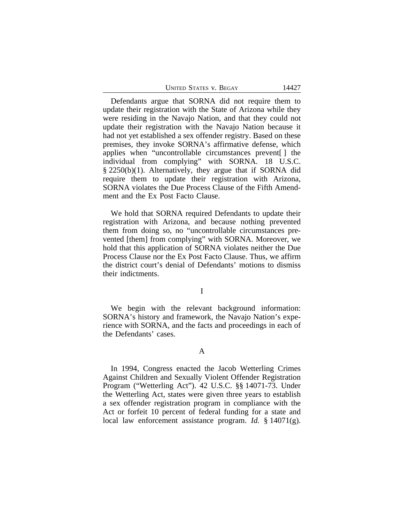Defendants argue that SORNA did not require them to update their registration with the State of Arizona while they were residing in the Navajo Nation, and that they could not update their registration with the Navajo Nation because it had not yet established a sex offender registry. Based on these premises, they invoke SORNA's affirmative defense, which applies when "uncontrollable circumstances prevent[ ] the individual from complying" with SORNA. 18 U.S.C. § 2250(b)(1). Alternatively, they argue that if SORNA did require them to update their registration with Arizona, SORNA violates the Due Process Clause of the Fifth Amendment and the Ex Post Facto Clause.

We hold that SORNA required Defendants to update their registration with Arizona, and because nothing prevented them from doing so, no "uncontrollable circumstances prevented [them] from complying" with SORNA. Moreover, we hold that this application of SORNA violates neither the Due Process Clause nor the Ex Post Facto Clause. Thus, we affirm the district court's denial of Defendants' motions to dismiss their indictments.

I

We begin with the relevant background information: SORNA's history and framework, the Navajo Nation's experience with SORNA, and the facts and proceedings in each of the Defendants' cases.

#### A

In 1994, Congress enacted the Jacob Wetterling Crimes Against Children and Sexually Violent Offender Registration Program ("Wetterling Act"). 42 U.S.C. §§ 14071-73. Under the Wetterling Act, states were given three years to establish a sex offender registration program in compliance with the Act or forfeit 10 percent of federal funding for a state and local law enforcement assistance program. *Id.* § 14071(g).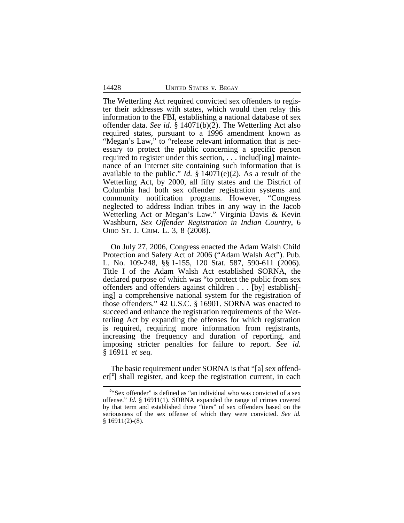The Wetterling Act required convicted sex offenders to register their addresses with states, which would then relay this information to the FBI, establishing a national database of sex offender data. *See id.* § 14071(b)(2). The Wetterling Act also required states, pursuant to a 1996 amendment known as "Megan's Law," to "release relevant information that is necessary to protect the public concerning a specific person required to register under this section, . . . includ[ing] maintenance of an Internet site containing such information that is available to the public." *Id.* § 14071(e)(2). As a result of the Wetterling Act, by 2000, all fifty states and the District of Columbia had both sex offender registration systems and community notification programs. However, "Congress neglected to address Indian tribes in any way in the Jacob Wetterling Act or Megan's Law." Virginia Davis & Kevin Washburn, *Sex Offender Registration in Indian Country*, 6 OHIO ST. J. CRIM. L. 3, 8 (2008).

On July 27, 2006, Congress enacted the Adam Walsh Child Protection and Safety Act of 2006 ("Adam Walsh Act"). Pub. L. No. 109-248, §§ 1-155, 120 Stat. 587, 590-611 (2006). Title I of the Adam Walsh Act established SORNA, the declared purpose of which was "to protect the public from sex offenders and offenders against children . . . [by] establish[ ing] a comprehensive national system for the registration of those offenders." 42 U.S.C. § 16901. SORNA was enacted to succeed and enhance the registration requirements of the Wetterling Act by expanding the offenses for which registration is required, requiring more information from registrants, increasing the frequency and duration of reporting, and imposing stricter penalties for failure to report. *See id.* § 16911 *et seq.* 

The basic requirement under SORNA is that "[a] sex offender[**<sup>2</sup>** ] shall register, and keep the registration current, in each

<sup>&</sup>lt;sup>2</sup> Sex offender" is defined as "an individual who was convicted of a sex offense." *Id.* § 16911(1). SORNA expanded the range of crimes covered by that term and established three "tiers" of sex offenders based on the seriousness of the sex offense of which they were convicted. *See id.*  $§ 16911(2)-(8).$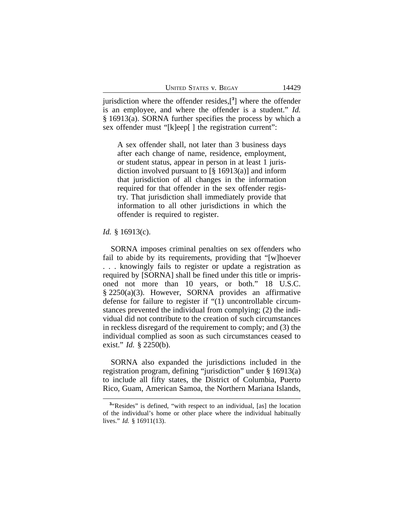jurisdiction where the offender resides,[**<sup>3</sup>** ] where the offender is an employee, and where the offender is a student." *Id.* § 16913(a). SORNA further specifies the process by which a sex offender must "[k]eep[] the registration current":

A sex offender shall, not later than 3 business days after each change of name, residence, employment, or student status, appear in person in at least 1 jurisdiction involved pursuant to  $\lceil \frac{8}{9} \cdot 16913(a) \rceil$  and inform that jurisdiction of all changes in the information required for that offender in the sex offender registry. That jurisdiction shall immediately provide that information to all other jurisdictions in which the offender is required to register.

#### *Id.* § 16913(c).

SORNA imposes criminal penalties on sex offenders who fail to abide by its requirements, providing that "[w]hoever . . . knowingly fails to register or update a registration as required by [SORNA] shall be fined under this title or imprisoned not more than 10 years, or both." 18 U.S.C. § 2250(a)(3). However, SORNA provides an affirmative defense for failure to register if "(1) uncontrollable circumstances prevented the individual from complying; (2) the individual did not contribute to the creation of such circumstances in reckless disregard of the requirement to comply; and (3) the individual complied as soon as such circumstances ceased to exist." *Id.* § 2250(b).

SORNA also expanded the jurisdictions included in the registration program, defining "jurisdiction" under § 16913(a) to include all fifty states, the District of Columbia, Puerto Rico, Guam, American Samoa, the Northern Mariana Islands,

<sup>&</sup>lt;sup>3</sup><sup>*x*</sup>Resides" is defined, "with respect to an individual, [as] the location of the individual's home or other place where the individual habitually lives." *Id.* § 16911(13).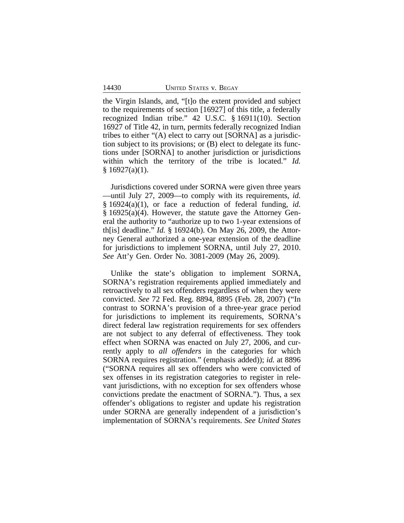the Virgin Islands, and, "[t]o the extent provided and subject to the requirements of section [16927] of this title, a federally recognized Indian tribe." 42 U.S.C. § 16911(10). Section 16927 of Title 42, in turn, permits federally recognized Indian tribes to either "(A) elect to carry out [SORNA] as a jurisdiction subject to its provisions; or (B) elect to delegate its functions under [SORNA] to another jurisdiction or jurisdictions within which the territory of the tribe is located." *Id.*  $§ 16927(a)(1).$ 

Jurisdictions covered under SORNA were given three years —until July 27, 2009—to comply with its requirements, *id.* § 16924(a)(1), or face a reduction of federal funding, *id.* § 16925(a)(4). However, the statute gave the Attorney General the authority to "authorize up to two 1-year extensions of th[is] deadline." *Id.* § 16924(b). On May 26, 2009, the Attorney General authorized a one-year extension of the deadline for jurisdictions to implement SORNA, until July 27, 2010. *See* Att'y Gen. Order No. 3081-2009 (May 26, 2009).

Unlike the state's obligation to implement SORNA, SORNA's registration requirements applied immediately and retroactively to all sex offenders regardless of when they were convicted. *See* 72 Fed. Reg. 8894, 8895 (Feb. 28, 2007) ("In contrast to SORNA's provision of a three-year grace period for jurisdictions to implement its requirements, SORNA's direct federal law registration requirements for sex offenders are not subject to any deferral of effectiveness. They took effect when SORNA was enacted on July 27, 2006, and currently apply to *all offenders* in the categories for which SORNA requires registration." (emphasis added)); *id.* at 8896 ("SORNA requires all sex offenders who were convicted of sex offenses in its registration categories to register in relevant jurisdictions, with no exception for sex offenders whose convictions predate the enactment of SORNA."). Thus, a sex offender's obligations to register and update his registration under SORNA are generally independent of a jurisdiction's implementation of SORNA's requirements. *See United States*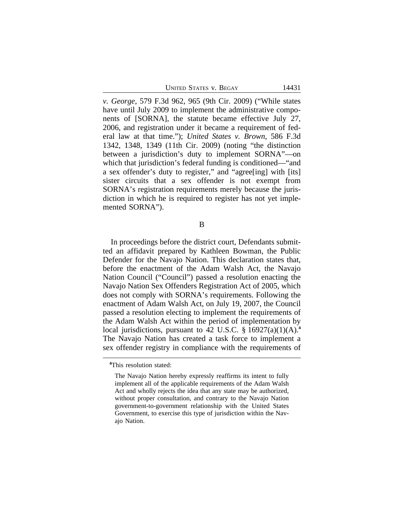UNITED STATES V. BEGAY 14431

*v. George*, 579 F.3d 962, 965 (9th Cir. 2009) ("While states have until July 2009 to implement the administrative components of [SORNA], the statute became effective July 27, 2006, and registration under it became a requirement of federal law at that time."); *United States v. Brown*, 586 F.3d 1342, 1348, 1349 (11th Cir. 2009) (noting "the distinction between a jurisdiction's duty to implement SORNA"—on which that jurisdiction's federal funding is conditioned—"and a sex offender's duty to register," and "agree[ing] with [its] sister circuits that a sex offender is not exempt from SORNA's registration requirements merely because the jurisdiction in which he is required to register has not yet implemented SORNA").

B

In proceedings before the district court, Defendants submitted an affidavit prepared by Kathleen Bowman, the Public Defender for the Navajo Nation. This declaration states that, before the enactment of the Adam Walsh Act, the Navajo Nation Council ("Council") passed a resolution enacting the Navajo Nation Sex Offenders Registration Act of 2005, which does not comply with SORNA's requirements. Following the enactment of Adam Walsh Act, on July 19, 2007, the Council passed a resolution electing to implement the requirements of the Adam Walsh Act within the period of implementation by local jurisdictions, pursuant to 42 U.S.C. § 16927(a)(1)(A).**<sup>4</sup>** The Navajo Nation has created a task force to implement a sex offender registry in compliance with the requirements of

**<sup>4</sup>**This resolution stated:

The Navajo Nation hereby expressly reaffirms its intent to fully implement all of the applicable requirements of the Adam Walsh Act and wholly rejects the idea that any state may be authorized, without proper consultation, and contrary to the Navajo Nation government-to-government relationship with the United States Government, to exercise this type of jurisdiction within the Navajo Nation.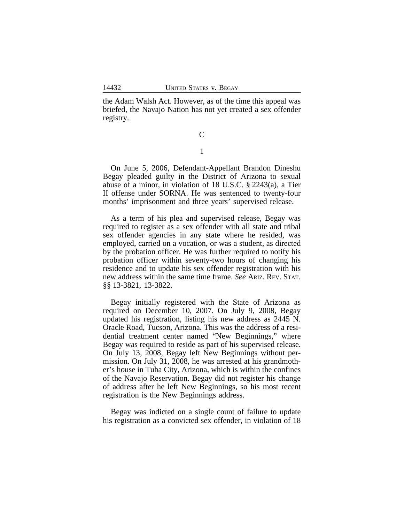the Adam Walsh Act. However, as of the time this appeal was briefed, the Navajo Nation has not yet created a sex offender registry.

> $\mathcal{C}$ 1

On June 5, 2006, Defendant-Appellant Brandon Dineshu Begay pleaded guilty in the District of Arizona to sexual abuse of a minor, in violation of 18 U.S.C. § 2243(a), a Tier II offense under SORNA. He was sentenced to twenty-four months' imprisonment and three years' supervised release.

As a term of his plea and supervised release, Begay was required to register as a sex offender with all state and tribal sex offender agencies in any state where he resided, was employed, carried on a vocation, or was a student, as directed by the probation officer. He was further required to notify his probation officer within seventy-two hours of changing his residence and to update his sex offender registration with his new address within the same time frame. *See* ARIZ. REV. STAT. §§ 13-3821, 13-3822.

Begay initially registered with the State of Arizona as required on December 10, 2007. On July 9, 2008, Begay updated his registration, listing his new address as 2445 N. Oracle Road, Tucson, Arizona. This was the address of a residential treatment center named "New Beginnings," where Begay was required to reside as part of his supervised release. On July 13, 2008, Begay left New Beginnings without permission. On July 31, 2008, he was arrested at his grandmother's house in Tuba City, Arizona, which is within the confines of the Navajo Reservation. Begay did not register his change of address after he left New Beginnings, so his most recent registration is the New Beginnings address.

Begay was indicted on a single count of failure to update his registration as a convicted sex offender, in violation of 18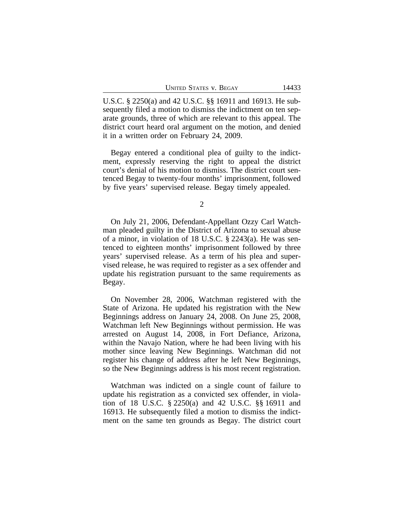|  | <b>UNITED STATES V. BEGAY</b> |  |  |  |
|--|-------------------------------|--|--|--|
|--|-------------------------------|--|--|--|

U.S.C. § 2250(a) and 42 U.S.C. §§ 16911 and 16913. He subsequently filed a motion to dismiss the indictment on ten separate grounds, three of which are relevant to this appeal. The district court heard oral argument on the motion, and denied it in a written order on February 24, 2009.

Begay entered a conditional plea of guilty to the indictment, expressly reserving the right to appeal the district court's denial of his motion to dismiss. The district court sentenced Begay to twenty-four months' imprisonment, followed by five years' supervised release. Begay timely appealed.

2

On July 21, 2006, Defendant-Appellant Ozzy Carl Watchman pleaded guilty in the District of Arizona to sexual abuse of a minor, in violation of 18 U.S.C. § 2243(a). He was sentenced to eighteen months' imprisonment followed by three years' supervised release. As a term of his plea and supervised release, he was required to register as a sex offender and update his registration pursuant to the same requirements as Begay.

On November 28, 2006, Watchman registered with the State of Arizona. He updated his registration with the New Beginnings address on January 24, 2008. On June 25, 2008, Watchman left New Beginnings without permission. He was arrested on August 14, 2008, in Fort Defiance, Arizona, within the Navajo Nation, where he had been living with his mother since leaving New Beginnings. Watchman did not register his change of address after he left New Beginnings, so the New Beginnings address is his most recent registration.

Watchman was indicted on a single count of failure to update his registration as a convicted sex offender, in violation of 18 U.S.C. § 2250(a) and 42 U.S.C. §§ 16911 and 16913. He subsequently filed a motion to dismiss the indictment on the same ten grounds as Begay. The district court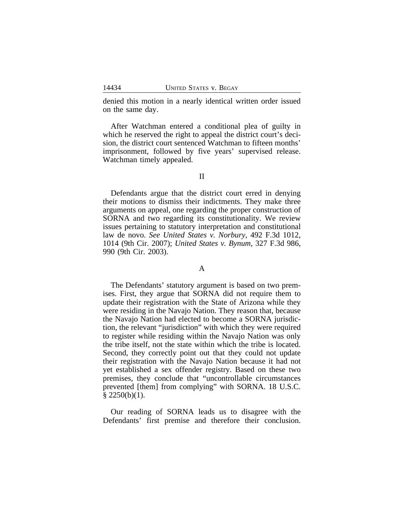denied this motion in a nearly identical written order issued on the same day.

After Watchman entered a conditional plea of guilty in which he reserved the right to appeal the district court's decision, the district court sentenced Watchman to fifteen months' imprisonment, followed by five years' supervised release. Watchman timely appealed.

Defendants argue that the district court erred in denying their motions to dismiss their indictments. They make three arguments on appeal, one regarding the proper construction of SORNA and two regarding its constitutionality. We review issues pertaining to statutory interpretation and constitutional law de novo. *See United States v. Norbury*, 492 F.3d 1012, 1014 (9th Cir. 2007); *United States v. Bynum*, 327 F.3d 986, 990 (9th Cir. 2003).

#### A

The Defendants' statutory argument is based on two premises. First, they argue that SORNA did not require them to update their registration with the State of Arizona while they were residing in the Navajo Nation. They reason that, because the Navajo Nation had elected to become a SORNA jurisdiction, the relevant "jurisdiction" with which they were required to register while residing within the Navajo Nation was only the tribe itself, not the state within which the tribe is located. Second, they correctly point out that they could not update their registration with the Navajo Nation because it had not yet established a sex offender registry. Based on these two premises, they conclude that "uncontrollable circumstances prevented [them] from complying" with SORNA. 18 U.S.C.  $§$  2250(b)(1).

Our reading of SORNA leads us to disagree with the Defendants' first premise and therefore their conclusion.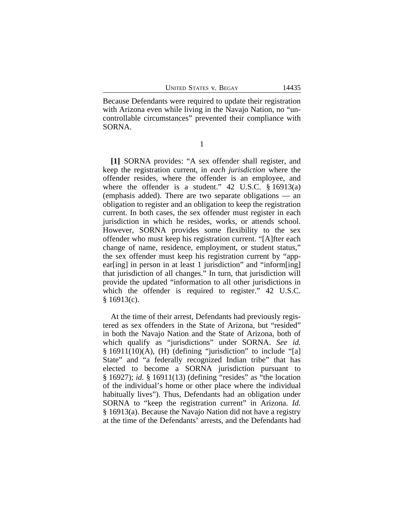Because Defendants were required to update their registration with Arizona even while living in the Navajo Nation, no "uncontrollable circumstances" prevented their compliance with SORNA.

1

**[1]** SORNA provides: "A sex offender shall register, and keep the registration current, in *each jurisdiction* where the offender resides, where the offender is an employee, and where the offender is a student."  $42 \text{ U.S.C. }$  § 16913(a) (emphasis added). There are two separate obligations — an obligation to register and an obligation to keep the registration current. In both cases, the sex offender must register in each jurisdiction in which he resides, works, or attends school. However, SORNA provides some flexibility to the sex offender who must keep his registration current. "[A]fter each change of name, residence, employment, or student status," the sex offender must keep his registration current by "appear[ing] in person in at least 1 jurisdiction" and "inform[ing] that jurisdiction of all changes." In turn, that jurisdiction will provide the updated "information to all other jurisdictions in which the offender is required to register." 42 U.S.C.  $§$  16913(c).

At the time of their arrest, Defendants had previously registered as sex offenders in the State of Arizona, but "resided" in both the Navajo Nation and the State of Arizona, both of which qualify as "jurisdictions" under SORNA. *See id.*  $§ 16911(10)(A), (H)$  (defining "jurisdiction" to include "[a] State" and "a federally recognized Indian tribe" that has elected to become a SORNA jurisdiction pursuant to § 16927); *id.* § 16911(13) (defining "resides" as "the location of the individual's home or other place where the individual habitually lives"). Thus, Defendants had an obligation under SORNA to "keep the registration current" in Arizona. *Id.* § 16913(a). Because the Navajo Nation did not have a registry at the time of the Defendants' arrests, and the Defendants had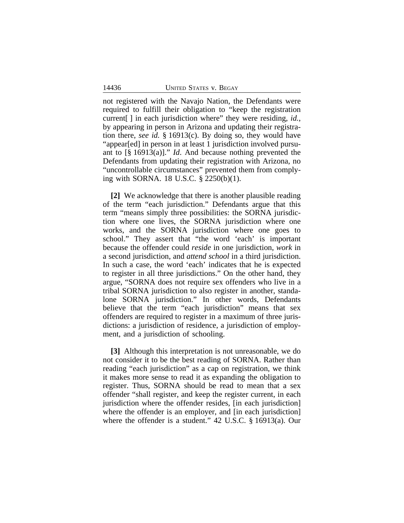not registered with the Navajo Nation, the Defendants were required to fulfill their obligation to "keep the registration current[ ] in each jurisdiction where" they were residing, *id.*, by appearing in person in Arizona and updating their registration there, *see id.* § 16913(c). By doing so, they would have "appear[ed] in person in at least 1 jurisdiction involved pursuant to [§ 16913(a)]." *Id*. And because nothing prevented the Defendants from updating their registration with Arizona, no "uncontrollable circumstances" prevented them from complying with SORNA. 18 U.S.C. § 2250(b)(1).

**[2]** We acknowledge that there is another plausible reading of the term "each jurisdiction." Defendants argue that this term "means simply three possibilities: the SORNA jurisdiction where one lives, the SORNA jurisdiction where one works, and the SORNA jurisdiction where one goes to school." They assert that "the word 'each' is important because the offender could *reside* in one jurisdiction, *work* in a second jurisdiction, and *attend school* in a third jurisdiction. In such a case, the word 'each' indicates that he is expected to register in all three jurisdictions." On the other hand, they argue, "SORNA does not require sex offenders who live in a tribal SORNA jurisdiction to also register in another, standalone SORNA jurisdiction." In other words, Defendants believe that the term "each jurisdiction" means that sex offenders are required to register in a maximum of three jurisdictions: a jurisdiction of residence, a jurisdiction of employment, and a jurisdiction of schooling.

**[3]** Although this interpretation is not unreasonable, we do not consider it to be the best reading of SORNA. Rather than reading "each jurisdiction" as a cap on registration, we think it makes more sense to read it as expanding the obligation to register. Thus, SORNA should be read to mean that a sex offender "shall register, and keep the register current, in each jurisdiction where the offender resides, [in each jurisdiction] where the offender is an employer, and [in each jurisdiction] where the offender is a student." 42 U.S.C. § 16913(a). Our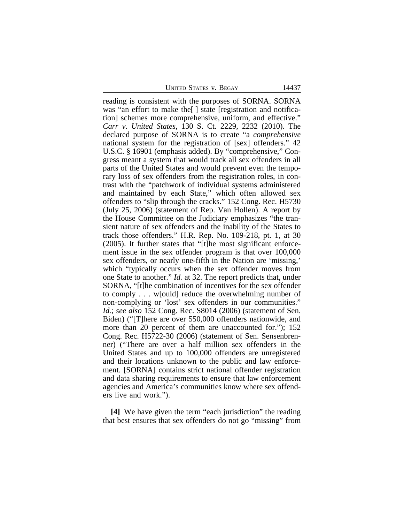UNITED STATES V. BEGAY 14437

reading is consistent with the purposes of SORNA. SORNA was "an effort to make the | state registration and notification] schemes more comprehensive, uniform, and effective." *Carr v. United States*, 130 S. Ct. 2229, 2232 (2010). The declared purpose of SORNA is to create "a *comprehensive* national system for the registration of [sex] offenders." 42 U.S.C. § 16901 (emphasis added). By "comprehensive," Congress meant a system that would track all sex offenders in all parts of the United States and would prevent even the temporary loss of sex offenders from the registration roles, in contrast with the "patchwork of individual systems administered and maintained by each State," which often allowed sex offenders to "slip through the cracks." 152 Cong. Rec. H5730 (July 25, 2006) (statement of Rep. Van Hollen). A report by the House Committee on the Judiciary emphasizes "the transient nature of sex offenders and the inability of the States to track those offenders." H.R. Rep. No. 109-218, pt. 1, at 30 (2005). It further states that "[t]he most significant enforcement issue in the sex offender program is that over 100,000 sex offenders, or nearly one-fifth in the Nation are 'missing,' which "typically occurs when the sex offender moves from one State to another." *Id.* at 32. The report predicts that, under SORNA, "[t]he combination of incentives for the sex offender to comply . . . w[ould] reduce the overwhelming number of non-complying or 'lost' sex offenders in our communities." *Id.*; *see also* 152 Cong. Rec. S8014 (2006) (statement of Sen. Biden) ("[T]here are over 550,000 offenders nationwide, and more than 20 percent of them are unaccounted for."); 152 Cong. Rec. H5722-30 (2006) (statement of Sen. Sensenbrenner) ("There are over a half million sex offenders in the United States and up to 100,000 offenders are unregistered and their locations unknown to the public and law enforcement. [SORNA] contains strict national offender registration and data sharing requirements to ensure that law enforcement agencies and America's communities know where sex offenders live and work.").

**[4]** We have given the term "each jurisdiction" the reading that best ensures that sex offenders do not go "missing" from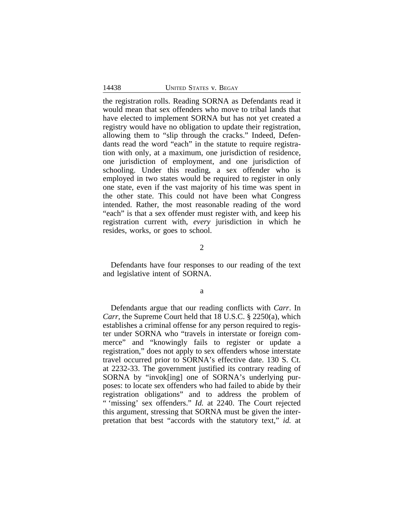the registration rolls. Reading SORNA as Defendants read it would mean that sex offenders who move to tribal lands that have elected to implement SORNA but has not yet created a registry would have no obligation to update their registration, allowing them to "slip through the cracks." Indeed, Defendants read the word "each" in the statute to require registration with only, at a maximum, one jurisdiction of residence, one jurisdiction of employment, and one jurisdiction of schooling. Under this reading, a sex offender who is employed in two states would be required to register in only one state, even if the vast majority of his time was spent in the other state. This could not have been what Congress intended. Rather, the most reasonable reading of the word "each" is that a sex offender must register with, and keep his registration current with, *every* jurisdiction in which he resides, works, or goes to school.

2

Defendants have four responses to our reading of the text and legislative intent of SORNA.

a

Defendants argue that our reading conflicts with *Carr*. In *Carr*, the Supreme Court held that 18 U.S.C. § 2250(a), which establishes a criminal offense for any person required to register under SORNA who "travels in interstate or foreign commerce" and "knowingly fails to register or update a registration," does not apply to sex offenders whose interstate travel occurred prior to SORNA's effective date. 130 S. Ct. at 2232-33. The government justified its contrary reading of SORNA by "invok[ing] one of SORNA's underlying purposes: to locate sex offenders who had failed to abide by their registration obligations" and to address the problem of " 'missing' sex offenders." *Id.* at 2240. The Court rejected this argument, stressing that SORNA must be given the interpretation that best "accords with the statutory text," *id.* at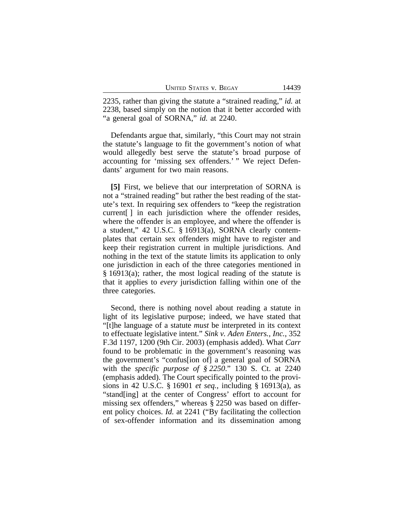2235, rather than giving the statute a "strained reading," *id.* at 2238, based simply on the notion that it better accorded with "a general goal of SORNA," *id.* at 2240.

Defendants argue that, similarly, "this Court may not strain the statute's language to fit the government's notion of what would allegedly best serve the statute's broad purpose of accounting for 'missing sex offenders.' " We reject Defendants' argument for two main reasons.

**[5]** First, we believe that our interpretation of SORNA is not a "strained reading" but rather the best reading of the statute's text. In requiring sex offenders to "keep the registration current[ ] in each jurisdiction where the offender resides, where the offender is an employee, and where the offender is a student," 42 U.S.C. § 16913(a), SORNA clearly contemplates that certain sex offenders might have to register and keep their registration current in multiple jurisdictions. And nothing in the text of the statute limits its application to only one jurisdiction in each of the three categories mentioned in § 16913(a); rather, the most logical reading of the statute is that it applies to *every* jurisdiction falling within one of the three categories.

Second, there is nothing novel about reading a statute in light of its legislative purpose; indeed, we have stated that "[t]he language of a statute *must* be interpreted in its context to effectuate legislative intent." *Sink v. Aden Enters., Inc.*, 352 F.3d 1197, 1200 (9th Cir. 2003) (emphasis added). What *Carr* found to be problematic in the government's reasoning was the government's "confus[ion of] a general goal of SORNA with the *specific purpose of § 2250*." 130 S. Ct. at 2240 (emphasis added). The Court specifically pointed to the provisions in 42 U.S.C. § 16901 *et seq.*, including § 16913(a), as "stand[ing] at the center of Congress' effort to account for missing sex offenders," whereas § 2250 was based on different policy choices. *Id.* at 2241 ("By facilitating the collection of sex-offender information and its dissemination among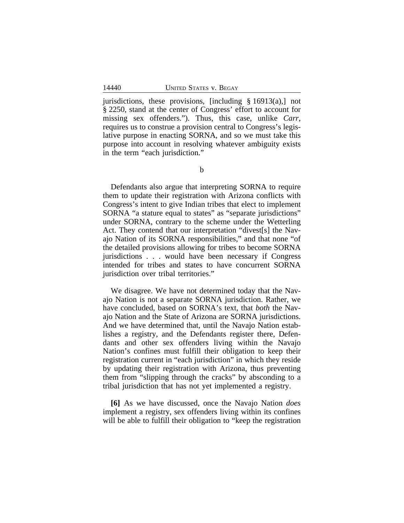jurisdictions, these provisions, [including § 16913(a),] not § 2250, stand at the center of Congress' effort to account for missing sex offenders."). Thus, this case, unlike *Carr*, requires us to construe a provision central to Congress's legislative purpose in enacting SORNA, and so we must take this purpose into account in resolving whatever ambiguity exists in the term "each jurisdiction."

Defendants also argue that interpreting SORNA to require them to update their registration with Arizona conflicts with Congress's intent to give Indian tribes that elect to implement SORNA "a stature equal to states" as "separate jurisdictions" under SORNA, contrary to the scheme under the Wetterling Act. They contend that our interpretation "divest[s] the Navajo Nation of its SORNA responsibilities," and that none "of the detailed provisions allowing for tribes to become SORNA jurisdictions . . . would have been necessary if Congress intended for tribes and states to have concurrent SORNA jurisdiction over tribal territories."

We disagree. We have not determined today that the Navajo Nation is not a separate SORNA jurisdiction. Rather, we have concluded, based on SORNA's text, that *both* the Navajo Nation and the State of Arizona are SORNA jurisdictions. And we have determined that, until the Navajo Nation establishes a registry, and the Defendants register there, Defendants and other sex offenders living within the Navajo Nation's confines must fulfill their obligation to keep their registration current in "each jurisdiction" in which they reside by updating their registration with Arizona, thus preventing them from "slipping through the cracks" by absconding to a tribal jurisdiction that has not yet implemented a registry.

**[6]** As we have discussed, once the Navajo Nation *does* implement a registry, sex offenders living within its confines will be able to fulfill their obligation to "keep the registration"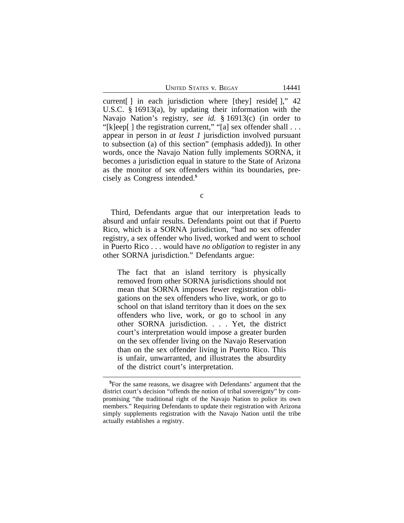UNITED STATES V. BEGAY 14441

current[ ] in each jurisdiction where [they] reside[ ]," 42 U.S.C. § 16913(a), by updating their information with the Navajo Nation's registry, *see id.* § 16913(c) (in order to "[k]eep[] the registration current," "[a] sex offender shall  $\dots$ appear in person in *at least 1* jurisdiction involved pursuant to subsection (a) of this section" (emphasis added)). In other words, once the Navajo Nation fully implements SORNA, it becomes a jurisdiction equal in stature to the State of Arizona as the monitor of sex offenders within its boundaries, precisely as Congress intended.**<sup>5</sup>**

c

Third, Defendants argue that our interpretation leads to absurd and unfair results. Defendants point out that if Puerto Rico, which is a SORNA jurisdiction, "had no sex offender registry, a sex offender who lived, worked and went to school in Puerto Rico . . . would have *no obligation* to register in any other SORNA jurisdiction." Defendants argue:

The fact that an island territory is physically removed from other SORNA jurisdictions should not mean that SORNA imposes fewer registration obligations on the sex offenders who live, work, or go to school on that island territory than it does on the sex offenders who live, work, or go to school in any other SORNA jurisdiction. . . . Yet, the district court's interpretation would impose a greater burden on the sex offender living on the Navajo Reservation than on the sex offender living in Puerto Rico. This is unfair, unwarranted, and illustrates the absurdity of the district court's interpretation.

**<sup>5</sup>**For the same reasons, we disagree with Defendants' argument that the district court's decision "offends the notion of tribal sovereignty" by compromising "the traditional right of the Navajo Nation to police its own members." Requiring Defendants to update their registration with Arizona simply supplements registration with the Navajo Nation until the tribe actually establishes a registry.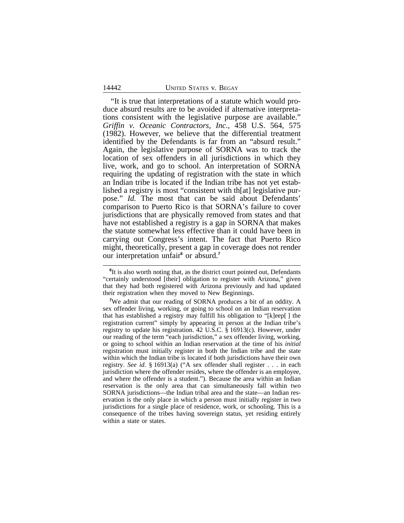"It is true that interpretations of a statute which would produce absurd results are to be avoided if alternative interpretations consistent with the legislative purpose are available." *Griffin v. Oceanic Contractors, Inc.*, 458 U.S. 564, 575 (1982). However, we believe that the differential treatment identified by the Defendants is far from an "absurd result." Again, the legislative purpose of SORNA was to track the location of sex offenders in all jurisdictions in which they live, work, and go to school. An interpretation of SORNA requiring the updating of registration with the state in which an Indian tribe is located if the Indian tribe has not yet established a registry is most "consistent with th[at] legislative purpose." *Id.* The most that can be said about Defendants' comparison to Puerto Rico is that SORNA's failure to cover jurisdictions that are physically removed from states and that have not established a registry is a gap in SORNA that makes the statute somewhat less effective than it could have been in carrying out Congress's intent. The fact that Puerto Rico might, theoretically, present a gap in coverage does not render our interpretation unfair**<sup>6</sup>** or absurd.**<sup>7</sup>**

<sup>&</sup>lt;sup>6</sup>It is also worth noting that, as the district court pointed out, Defendants "certainly understood [their] obligation to register with Arizona," given that they had both registered with Arizona previously and had updated their registration when they moved to New Beginnings.

**<sup>7</sup>**We admit that our reading of SORNA produces a bit of an oddity. A sex offender living, working, or going to school on an Indian reservation that has established a registry may fulfill his obligation to "[k]eep[ ] the registration current" simply by appearing in person at the Indian tribe's registry to update his registration. 42 U.S.C. § 16913(c). However, under our reading of the term "each jurisdiction," a sex offender living, working, or going to school within an Indian reservation at the time of his *initial* registration must initially register in both the Indian tribe and the state within which the Indian tribe is located if both jurisdictions have their own registry. *See id.* § 16913(a) ("A sex offender shall register . . . in each jurisdiction where the offender resides, where the offender is an employee, and where the offender is a student."). Because the area within an Indian reservation is the only area that can simultaneously fall within two SORNA jurisdictions—the Indian tribal area and the state—an Indian reservation is the only place in which a person must initially register in two jurisdictions for a single place of residence, work, or schooling. This is a consequence of the tribes having sovereign status, yet residing entirely within a state or states.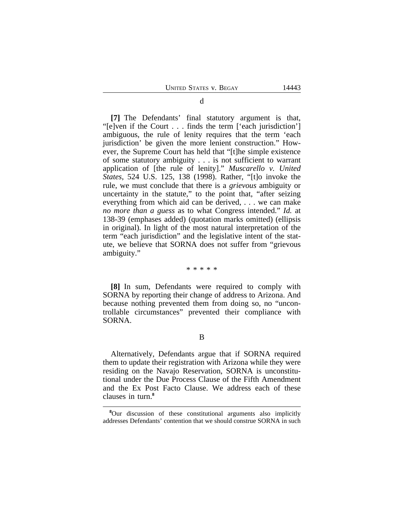**[7]** The Defendants' final statutory argument is that, "[e]ven if the Court . . . finds the term ['each jurisdiction'] ambiguous, the rule of lenity requires that the term 'each jurisdiction' be given the more lenient construction." However, the Supreme Court has held that "[t]he simple existence of some statutory ambiguity . . . is not sufficient to warrant application of [the rule of lenity]." *Muscarello v. United States*, 524 U.S. 125, 138 (1998). Rather, "[t]o invoke the rule, we must conclude that there is a *grievous* ambiguity or uncertainty in the statute," to the point that, "after seizing everything from which aid can be derived, . . . we can make *no more than a guess* as to what Congress intended." *Id.* at 138-39 (emphases added) (quotation marks omitted) (ellipsis in original). In light of the most natural interpretation of the term "each jurisdiction" and the legislative intent of the statute, we believe that SORNA does not suffer from "grievous ambiguity."

\* \* \* \* \*

**[8]** In sum, Defendants were required to comply with SORNA by reporting their change of address to Arizona. And because nothing prevented them from doing so, no "uncontrollable circumstances" prevented their compliance with SORNA.

Alternatively, Defendants argue that if SORNA required them to update their registration with Arizona while they were residing on the Navajo Reservation, SORNA is unconstitutional under the Due Process Clause of the Fifth Amendment and the Ex Post Facto Clause. We address each of these clauses in turn.**<sup>8</sup>**

**<sup>8</sup>**Our discussion of these constitutional arguments also implicitly addresses Defendants' contention that we should construe SORNA in such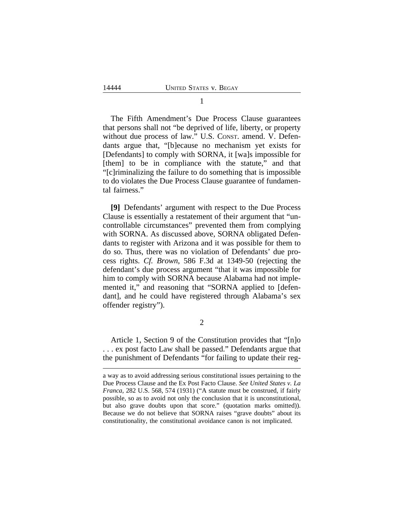The Fifth Amendment's Due Process Clause guarantees that persons shall not "be deprived of life, liberty, or property without due process of law." U.S. Const. amend. V. Defendants argue that, "[b]ecause no mechanism yet exists for [Defendants] to comply with SORNA, it [wa]s impossible for [them] to be in compliance with the statute," and that "[c]riminalizing the failure to do something that is impossible to do violates the Due Process Clause guarantee of fundamental fairness."

**[9]** Defendants' argument with respect to the Due Process Clause is essentially a restatement of their argument that "uncontrollable circumstances" prevented them from complying with SORNA. As discussed above, SORNA obligated Defendants to register with Arizona and it was possible for them to do so. Thus, there was no violation of Defendants' due process rights. *Cf. Brown*, 586 F.3d at 1349-50 (rejecting the defendant's due process argument "that it was impossible for him to comply with SORNA because Alabama had not implemented it," and reasoning that "SORNA applied to [defendant], and he could have registered through Alabama's sex offender registry").

2

Article 1, Section 9 of the Constitution provides that "[n]o . . . ex post facto Law shall be passed." Defendants argue that the punishment of Defendants "for failing to update their reg-

a way as to avoid addressing serious constitutional issues pertaining to the Due Process Clause and the Ex Post Facto Clause. *See United States v. La Franca*, 282 U.S. 568, 574 (1931) ("A statute must be construed, if fairly possible, so as to avoid not only the conclusion that it is unconstitutional, but also grave doubts upon that score." (quotation marks omitted)). Because we do not believe that SORNA raises "grave doubts" about its constitutionality, the constitutional avoidance canon is not implicated.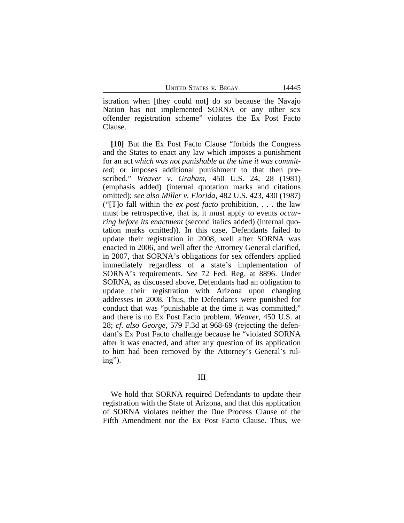istration when [they could not] do so because the Navajo Nation has not implemented SORNA or any other sex offender registration scheme" violates the Ex Post Facto Clause.

**[10]** But the Ex Post Facto Clause "forbids the Congress and the States to enact any law which imposes a punishment for an act *which was not punishable at the time it was committed*; or imposes additional punishment to that then prescribed." *Weaver v. Graham*, 450 U.S. 24, 28 (1981) (emphasis added) (internal quotation marks and citations omitted); *see also Miller v. Florida*, 482 U.S. 423, 430 (1987) ("[T]o fall within the *ex post facto* prohibition, . . . the law must be retrospective, that is, it must apply to events *occurring before its enactment* (second italics added) (internal quotation marks omitted)). In this case, Defendants failed to update their registration in 2008, well after SORNA was enacted in 2006, and well after the Attorney General clarified, in 2007, that SORNA's obligations for sex offenders applied immediately regardless of a state's implementation of SORNA's requirements. *See* 72 Fed. Reg. at 8896. Under SORNA, as discussed above, Defendants had an obligation to update their registration with Arizona upon changing addresses in 2008. Thus, the Defendants were punished for conduct that was "punishable at the time it was committed," and there is no Ex Post Facto problem. *Weaver*, 450 U.S. at 28; *cf. also George*, 579 F.3d at 968-69 (rejecting the defendant's Ex Post Facto challenge because he "violated SORNA after it was enacted, and after any question of its application to him had been removed by the Attorney's General's ruling").

## III

We hold that SORNA required Defendants to update their registration with the State of Arizona, and that this application of SORNA violates neither the Due Process Clause of the Fifth Amendment nor the Ex Post Facto Clause. Thus, we